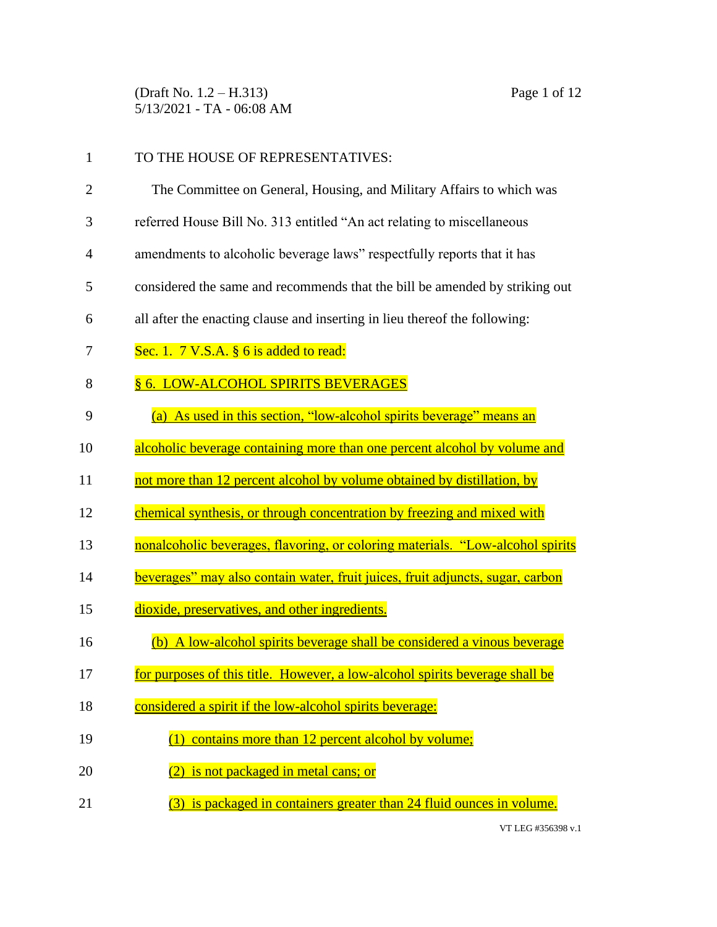(Draft No. 1.2 – H.313) Page 1 of 12 5/13/2021 - TA - 06:08 AM

| 1  | TO THE HOUSE OF REPRESENTATIVES:                                               |
|----|--------------------------------------------------------------------------------|
| 2  | The Committee on General, Housing, and Military Affairs to which was           |
| 3  | referred House Bill No. 313 entitled "An act relating to miscellaneous         |
| 4  | amendments to alcoholic beverage laws" respectfully reports that it has        |
| 5  | considered the same and recommends that the bill be amended by striking out    |
| 6  | all after the enacting clause and inserting in lieu thereof the following:     |
| 7  | Sec. 1. $7 \text{ V.S.A. }$ § 6 is added to read:                              |
| 8  | § 6. LOW-ALCOHOL SPIRITS BEVERAGES                                             |
| 9  | (a) As used in this section, "low-alcohol spirits beverage" means an           |
| 10 | alcoholic beverage containing more than one percent alcohol by volume and      |
| 11 | not more than 12 percent alcohol by volume obtained by distillation, by        |
| 12 | chemical synthesis, or through concentration by freezing and mixed with        |
| 13 | nonalcoholic beverages, flavoring, or coloring materials. "Low-alcohol spirits |
| 14 | beverages" may also contain water, fruit juices, fruit adjuncts, sugar, carbon |
| 15 | dioxide, preservatives, and other ingredients.                                 |
| 16 | (b) A low-alcohol spirits beverage shall be considered a vinous beverage       |
| 17 | for purposes of this title. However, a low-alcohol spirits beverage shall be   |
| 18 | considered a spirit if the low-alcohol spirits beverage:                       |
| 19 | (1) contains more than 12 percent alcohol by volume;                           |
| 20 | is not packaged in metal cans; or                                              |
| 21 | is packaged in containers greater than 24 fluid ounces in volume.              |

VT LEG #356398 v.1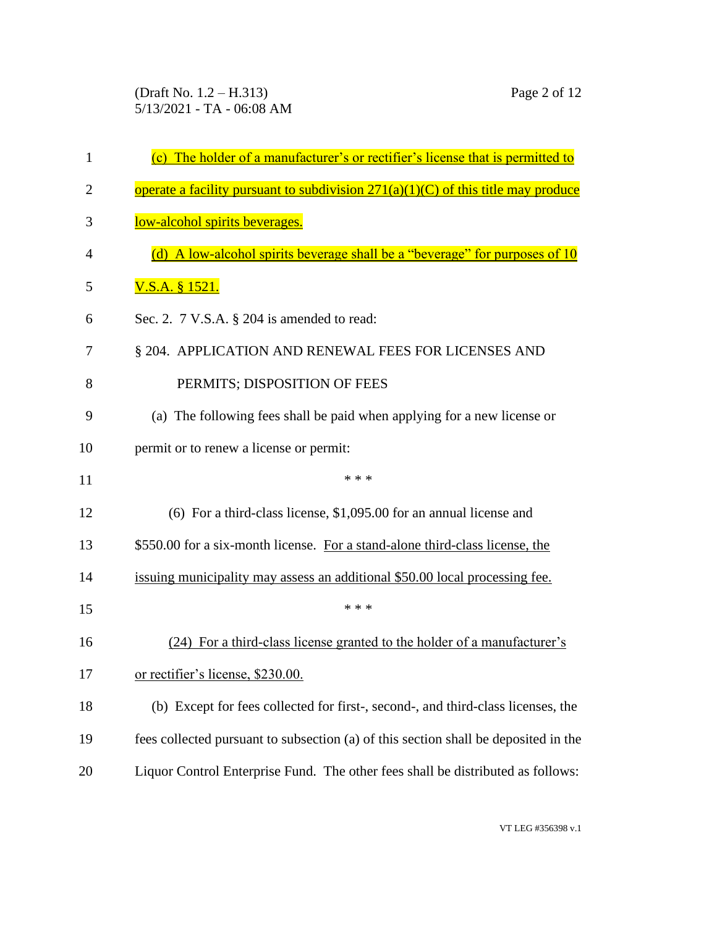(Draft No. 1.2 – H.313) Page 2 of 12 5/13/2021 - TA - 06:08 AM

| 1  | (c) The holder of a manufacturer's or rectifier's license that is permitted to      |
|----|-------------------------------------------------------------------------------------|
| 2  | operate a facility pursuant to subdivision $271(a)(1)(C)$ of this title may produce |
| 3  | low-alcohol spirits beverages.                                                      |
| 4  | (d) A low-alcohol spirits beverage shall be a "beverage" for purposes of 10         |
| 5  | <u>V.S.A. § 1521.</u>                                                               |
| 6  | Sec. 2. 7 V.S.A. § 204 is amended to read:                                          |
| 7  | § 204. APPLICATION AND RENEWAL FEES FOR LICENSES AND                                |
| 8  | PERMITS; DISPOSITION OF FEES                                                        |
| 9  | (a) The following fees shall be paid when applying for a new license or             |
| 10 | permit or to renew a license or permit:                                             |
| 11 | * * *                                                                               |
| 12 | $(6)$ For a third-class license, \$1,095.00 for an annual license and               |
| 13 | \$550.00 for a six-month license. For a stand-alone third-class license, the        |
| 14 | issuing municipality may assess an additional \$50.00 local processing fee.         |
| 15 | * * *                                                                               |
| 16 | (24) For a third-class license granted to the holder of a manufacturer's            |
| 17 | or rectifier's license, \$230.00.                                                   |
| 18 | (b) Except for fees collected for first-, second-, and third-class licenses, the    |
| 19 | fees collected pursuant to subsection (a) of this section shall be deposited in the |
| 20 | Liquor Control Enterprise Fund. The other fees shall be distributed as follows:     |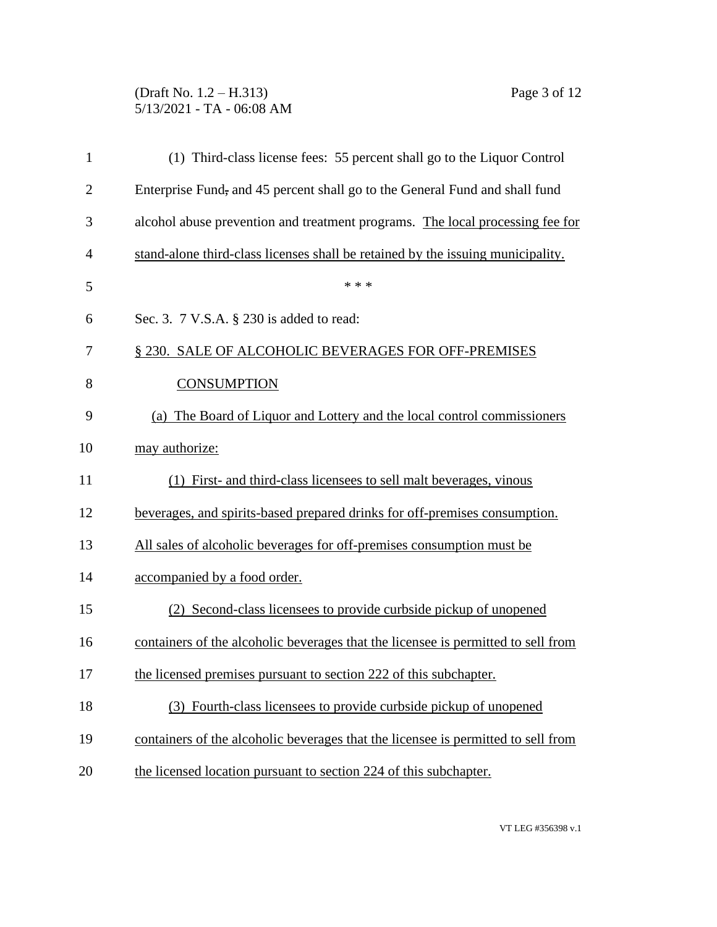## (Draft No. 1.2 – H.313) Page 3 of 12 5/13/2021 - TA - 06:08 AM

| 1              | (1) Third-class license fees: 55 percent shall go to the Liquor Control           |
|----------------|-----------------------------------------------------------------------------------|
| $\overline{c}$ | Enterprise Fund, and 45 percent shall go to the General Fund and shall fund       |
| 3              | alcohol abuse prevention and treatment programs. The local processing fee for     |
| 4              | stand-alone third-class licenses shall be retained by the issuing municipality.   |
| 5              | * * *                                                                             |
| 6              | Sec. 3. 7 V.S.A. § 230 is added to read:                                          |
| 7              | § 230. SALE OF ALCOHOLIC BEVERAGES FOR OFF-PREMISES                               |
| 8              | <b>CONSUMPTION</b>                                                                |
| 9              | (a) The Board of Liquor and Lottery and the local control commissioners           |
| 10             | may authorize:                                                                    |
| 11             | (1) First- and third-class licensees to sell malt beverages, vinous               |
| 12             | beverages, and spirits-based prepared drinks for off-premises consumption.        |
| 13             | All sales of alcoholic beverages for off-premises consumption must be             |
| 14             | accompanied by a food order.                                                      |
| 15             | (2) Second-class licensees to provide curbside pickup of unopened                 |
| 16             | containers of the alcoholic beverages that the licensee is permitted to sell from |
| 17             | the licensed premises pursuant to section 222 of this subchapter.                 |
| 18             | (3) Fourth-class licensees to provide curbside pickup of unopened                 |
| 19             | containers of the alcoholic beverages that the licensee is permitted to sell from |
| 20             | the licensed location pursuant to section 224 of this subchapter.                 |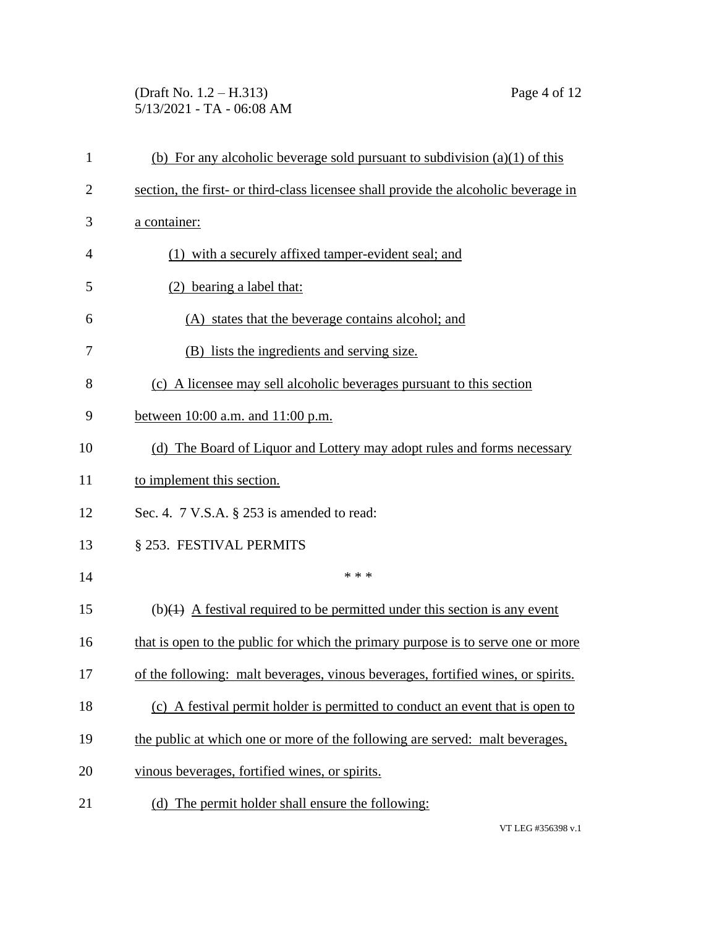## (Draft No. 1.2 – H.313) Page 4 of 12 5/13/2021 - TA - 06:08 AM

| $\mathbf{1}$   | (b) For any alcoholic beverage sold pursuant to subdivision $(a)(1)$ of this        |
|----------------|-------------------------------------------------------------------------------------|
| $\overline{2}$ | section, the first- or third-class licensee shall provide the alcoholic beverage in |
| 3              | a container:                                                                        |
| 4              | (1) with a securely affixed tamper-evident seal; and                                |
| 5              | (2) bearing a label that:                                                           |
| 6              | (A) states that the beverage contains alcohol; and                                  |
| 7              | (B) lists the ingredients and serving size.                                         |
| 8              | (c) A licensee may sell alcoholic beverages pursuant to this section                |
| 9              | between $10:00$ a.m. and $11:00$ p.m.                                               |
| 10             | (d) The Board of Liquor and Lottery may adopt rules and forms necessary             |
| 11             | to implement this section.                                                          |
| 12             | Sec. 4. $7$ V.S.A. $\S$ 253 is amended to read:                                     |
| 13             | § 253. FESTIVAL PERMITS                                                             |
| 14             | * * *                                                                               |
| 15             | $(b)(1)$ A festival required to be permitted under this section is any event        |
| 16             | that is open to the public for which the primary purpose is to serve one or more    |
| 17             | of the following: malt beverages, vinous beverages, fortified wines, or spirits.    |
| 18             | (c) A festival permit holder is permitted to conduct an event that is open to       |
| 19             | the public at which one or more of the following are served: malt beverages,        |
| 20             | vinous beverages, fortified wines, or spirits.                                      |
| 21             | (d) The permit holder shall ensure the following:                                   |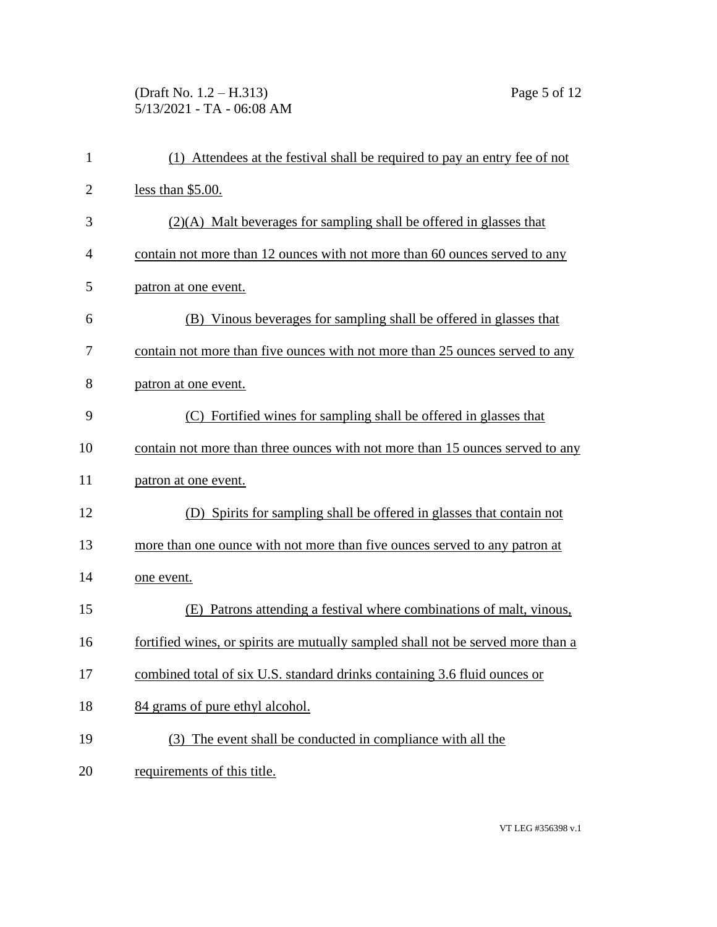# (Draft No. 1.2 – H.313) Page 5 of 12 5/13/2021 - TA - 06:08 AM

| $\mathbf{1}$   | (1) Attendees at the festival shall be required to pay an entry fee of not       |
|----------------|----------------------------------------------------------------------------------|
| $\overline{2}$ | less than \$5.00.                                                                |
| 3              | (2)(A) Malt beverages for sampling shall be offered in glasses that              |
| $\overline{4}$ | contain not more than 12 ounces with not more than 60 ounces served to any       |
| 5              | patron at one event.                                                             |
| 6              | (B) Vinous beverages for sampling shall be offered in glasses that               |
| 7              | contain not more than five ounces with not more than 25 ounces served to any     |
| 8              | patron at one event.                                                             |
| 9              | (C) Fortified wines for sampling shall be offered in glasses that                |
| 10             | contain not more than three ounces with not more than 15 ounces served to any    |
| 11             | patron at one event.                                                             |
| 12             | (D) Spirits for sampling shall be offered in glasses that contain not            |
| 13             | more than one ounce with not more than five ounces served to any patron at       |
| 14             | one event.                                                                       |
| 15             | Patrons attending a festival where combinations of malt, vinous,<br>(E)          |
| 16             | fortified wines, or spirits are mutually sampled shall not be served more than a |
| 17             | combined total of six U.S. standard drinks containing 3.6 fluid ounces or        |
| 18             | 84 grams of pure ethyl alcohol.                                                  |
| 19             | (3) The event shall be conducted in compliance with all the                      |
| 20             | requirements of this title.                                                      |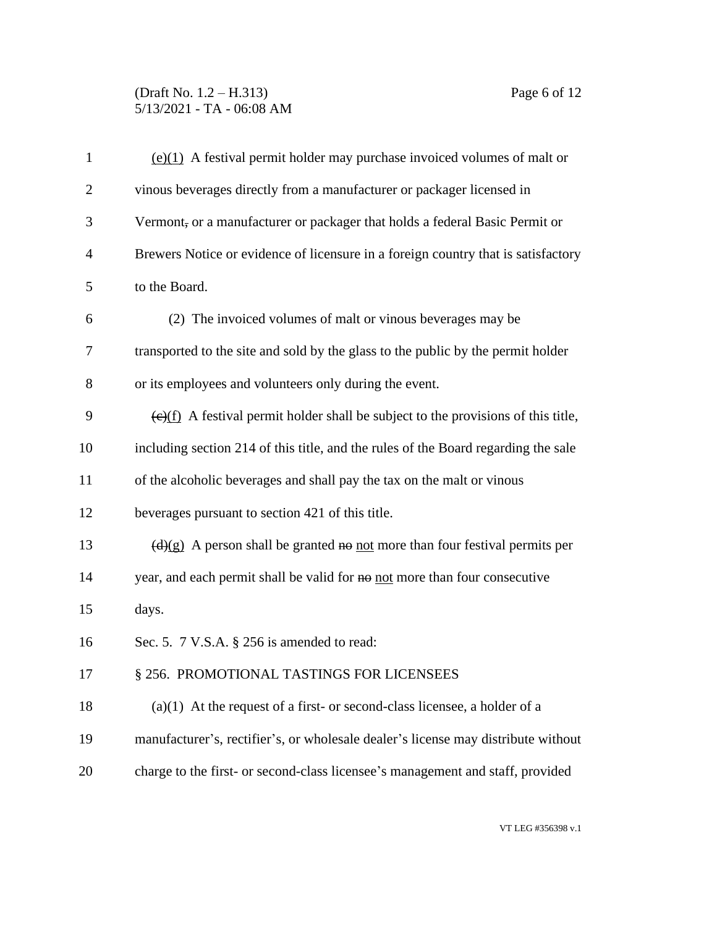### (Draft No. 1.2 – H.313) Page 6 of 12 5/13/2021 - TA - 06:08 AM

| $\mathbf{1}$   | $(e)(1)$ A festival permit holder may purchase invoiced volumes of malt or                      |
|----------------|-------------------------------------------------------------------------------------------------|
| $\overline{2}$ | vinous beverages directly from a manufacturer or packager licensed in                           |
| 3              | Vermont, or a manufacturer or packager that holds a federal Basic Permit or                     |
| $\overline{4}$ | Brewers Notice or evidence of licensure in a foreign country that is satisfactory               |
| 5              | to the Board.                                                                                   |
| 6              | (2) The invoiced volumes of malt or vinous beverages may be                                     |
| $\tau$         | transported to the site and sold by the glass to the public by the permit holder                |
| 8              | or its employees and volunteers only during the event.                                          |
| 9              | $\overline{(e)(f)}$ A festival permit holder shall be subject to the provisions of this title,  |
| 10             | including section 214 of this title, and the rules of the Board regarding the sale              |
| 11             | of the alcoholic beverages and shall pay the tax on the malt or vinous                          |
| 12             | beverages pursuant to section 421 of this title.                                                |
| 13             | $\left(\frac{d}{g}\right)$ A person shall be granted no not more than four festival permits per |
| 14             | year, and each permit shall be valid for no not more than four consecutive                      |
| 15             | days.                                                                                           |
| 16             | Sec. 5. 7 V.S.A. § 256 is amended to read:                                                      |
| 17             | § 256. PROMOTIONAL TASTINGS FOR LICENSEES                                                       |
| 18             | $(a)(1)$ At the request of a first- or second-class licensee, a holder of a                     |
| 19             | manufacturer's, rectifier's, or wholesale dealer's license may distribute without               |
| 20             | charge to the first- or second-class licensee's management and staff, provided                  |
|                |                                                                                                 |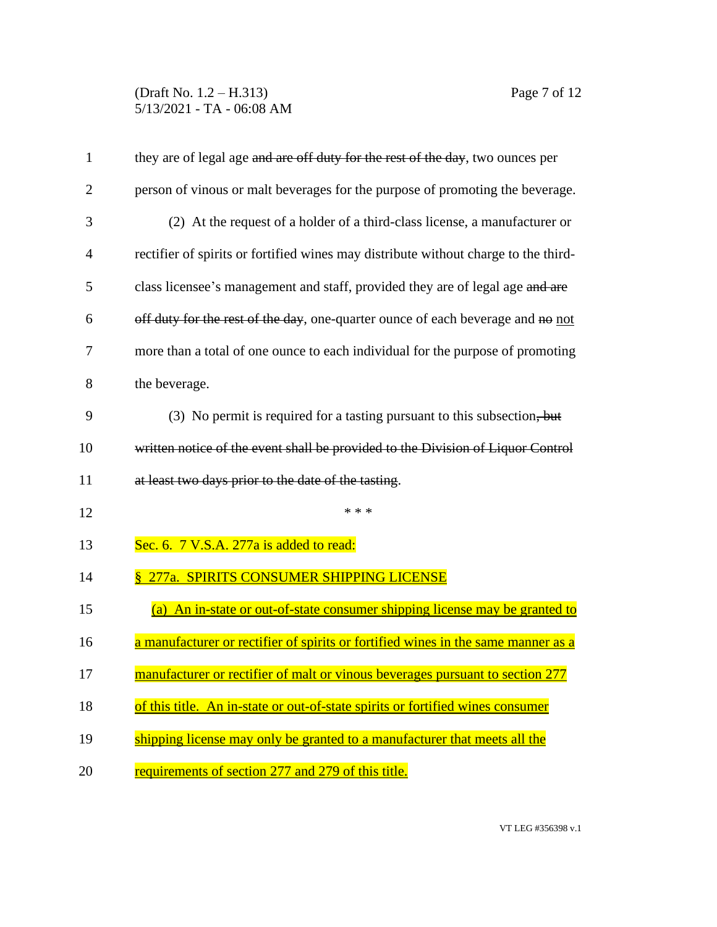### (Draft No. 1.2 – H.313) Page 7 of 12 5/13/2021 - TA - 06:08 AM

| $\mathbf{1}$   | they are of legal age and are off duty for the rest of the day, two ounces per      |
|----------------|-------------------------------------------------------------------------------------|
| $\overline{2}$ | person of vinous or malt beverages for the purpose of promoting the beverage.       |
| 3              | (2) At the request of a holder of a third-class license, a manufacturer or          |
| 4              | rectifier of spirits or fortified wines may distribute without charge to the third- |
| 5              | class licensee's management and staff, provided they are of legal age and are       |
| 6              | off duty for the rest of the day, one-quarter ounce of each beverage and no not     |
| 7              | more than a total of one ounce to each individual for the purpose of promoting      |
| 8              | the beverage.                                                                       |
| 9              | (3) No permit is required for a tasting pursuant to this subsection, but            |
| 10             | written notice of the event shall be provided to the Division of Liquor Control     |
| 11             | at least two days prior to the date of the tasting.                                 |
| 12             | * * *                                                                               |
| 13             | Sec. 6. 7 V.S.A. 277a is added to read:                                             |
| 14             | <u>§ 277a. SPIRITS CONSUMER SHIPPING LICENSE</u>                                    |
| 15             | (a) An in-state or out-of-state consumer shipping license may be granted to         |
| 16             | a manufacturer or rectifier of spirits or fortified wines in the same manner as a   |
| 17             | manufacturer or rectifier of malt or vinous beverages pursuant to section 277       |
| 18             | of this title. An in-state or out-of-state spirits or fortified wines consumer      |
| 19             | shipping license may only be granted to a manufacturer that meets all the           |
| 20             | requirements of section 277 and 279 of this title.                                  |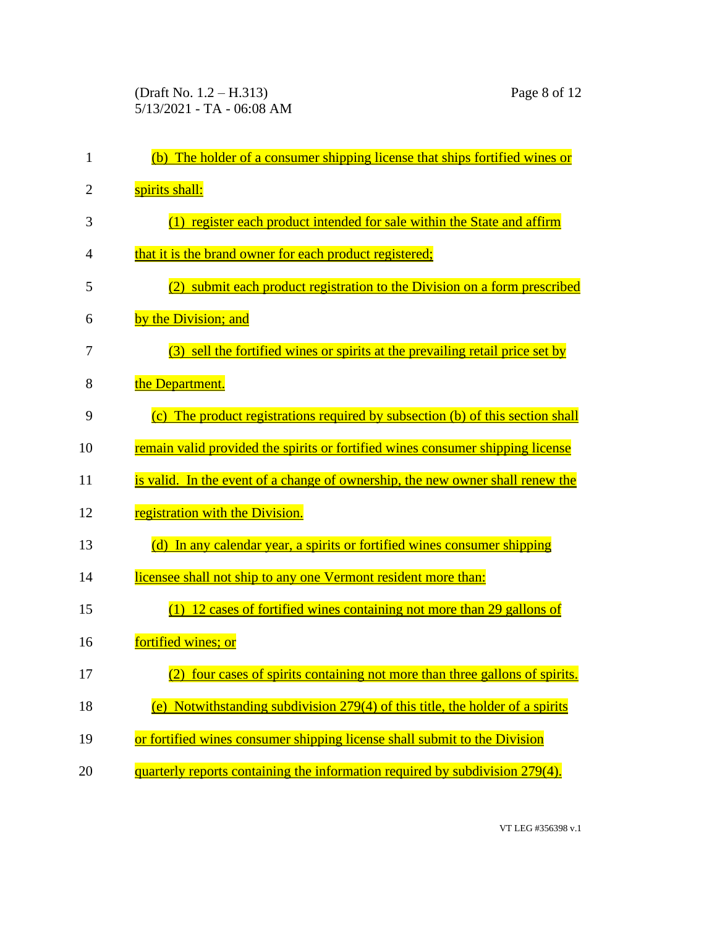| 1              | (b) The holder of a consumer shipping license that ships fortified wines or          |
|----------------|--------------------------------------------------------------------------------------|
| $\overline{2}$ | spirits shall:                                                                       |
| 3              | (1) register each product intended for sale within the State and affirm              |
| 4              | that it is the brand owner for each product registered;                              |
| 5              | (2) submit each product registration to the Division on a form prescribed            |
| 6              | by the Division; and                                                                 |
| 7              | (3) sell the <u>fortified wines or spirits</u> at the prevailing retail price set by |
| 8              | the Department.                                                                      |
| 9              | (c) The product registrations required by subsection (b) of this section shall       |
| 10             | remain valid provided the spirits or fortified wines consumer shipping license       |
| 11             | is valid. In the event of a change of ownership, the new owner shall renew the       |
| 12             | registration with the Division.                                                      |
| 13             | (d) In any calendar year, a spirits or fortified wines consumer shipping             |
| 14             | licensee shall not ship to any one Vermont resident more than:                       |
| 15             | $(1)$ 12 cases of fortified wines containing not more than 29 gallons of             |
| 16             | fortified wines; or                                                                  |
| 17             | (2) four cases of spirits containing not more than three gallons of spirits.         |
| 18             | (e) Notwithstanding subdivision $279(4)$ of this title, the holder of a spirits      |
| 19             | or fortified wines consumer shipping license shall submit to the Division            |
| 20             | quarterly reports containing the information required by subdivision 279(4).         |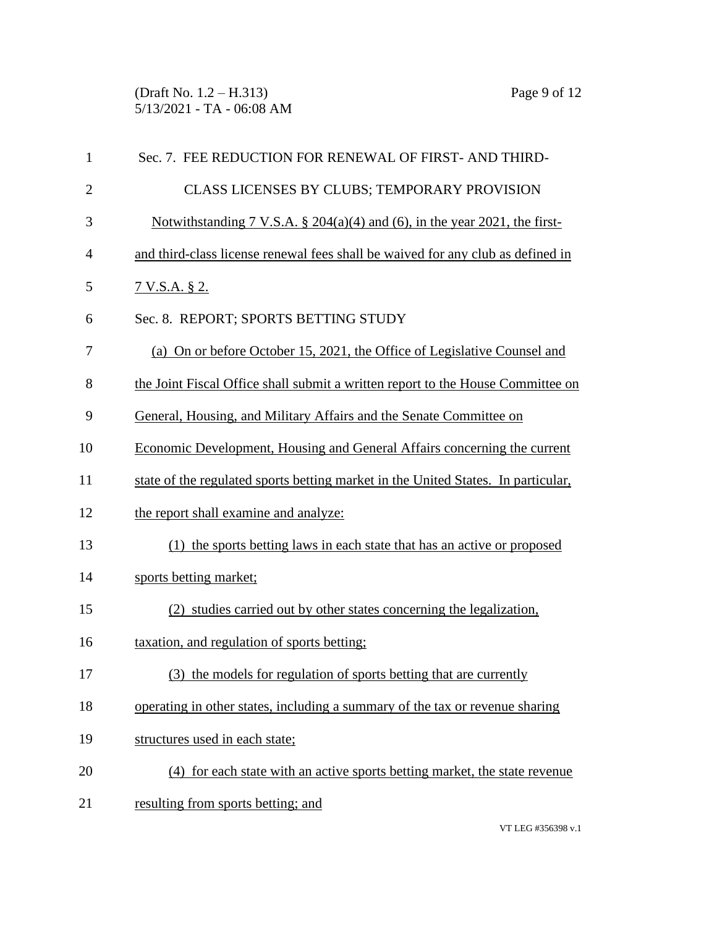(Draft No. 1.2 – H.313) Page 9 of 12 5/13/2021 - TA - 06:08 AM

| 1              | Sec. 7. FEE REDUCTION FOR RENEWAL OF FIRST-AND THIRD-                             |
|----------------|-----------------------------------------------------------------------------------|
| $\mathbf{2}$   | CLASS LICENSES BY CLUBS; TEMPORARY PROVISION                                      |
| 3              | Notwithstanding 7 V.S.A. $\S$ 204(a)(4) and (6), in the year 2021, the first-     |
| $\overline{4}$ | and third-class license renewal fees shall be waived for any club as defined in   |
| 5              | 7 V.S.A. § 2.                                                                     |
| 6              | Sec. 8. REPORT; SPORTS BETTING STUDY                                              |
| 7              | (a) On or before October 15, 2021, the Office of Legislative Counsel and          |
| 8              | the Joint Fiscal Office shall submit a written report to the House Committee on   |
| 9              | General, Housing, and Military Affairs and the Senate Committee on                |
| 10             | Economic Development, Housing and General Affairs concerning the current          |
| 11             | state of the regulated sports betting market in the United States. In particular, |
| 12             | the report shall examine and analyze:                                             |
| 13             | (1) the sports betting laws in each state that has an active or proposed          |
| 14             | sports betting market;                                                            |
| 15             | (2) studies carried out by other states concerning the legalization,              |
| 16             | taxation, and regulation of sports betting;                                       |
| 17             | (3) the models for regulation of sports betting that are currently                |
| 18             | operating in other states, including a summary of the tax or revenue sharing      |
| 19             | structures used in each state;                                                    |
| 20             | (4) for each state with an active sports betting market, the state revenue        |
| 21             | resulting from sports betting; and                                                |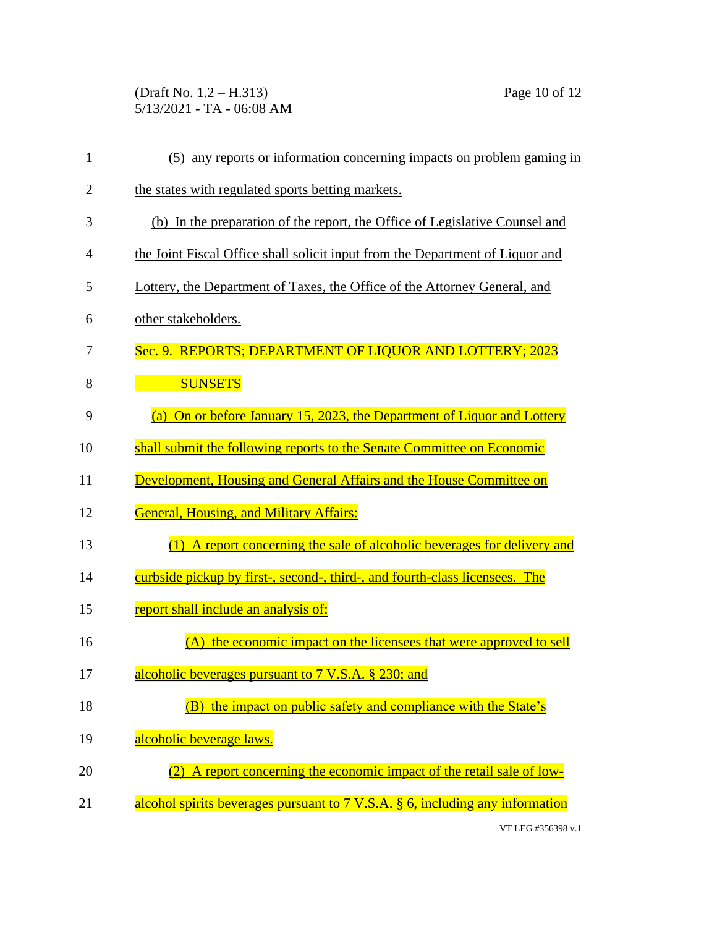(Draft No. 1.2 – H.313) Page 10 of 12 5/13/2021 - TA - 06:08 AM

| 1              | (5) any reports or information concerning impacts on problem gaming in                              |
|----------------|-----------------------------------------------------------------------------------------------------|
| $\overline{2}$ | the states with regulated sports betting markets.                                                   |
| 3              | (b) In the preparation of the report, the Office of Legislative Counsel and                         |
| 4              | the Joint Fiscal Office shall solicit input from the Department of Liquor and                       |
| 5              | Lottery, the Department of Taxes, the Office of the Attorney General, and                           |
| 6              | other stakeholders.                                                                                 |
| 7              | Sec. 9. REPORTS; DEPARTMENT OF LIQUOR AND LOTTERY; 2023                                             |
| 8              | <b>SUNSETS</b>                                                                                      |
| 9              | (a) On or before January 15, 2023, the Department of Liquor and Lottery                             |
| 10             | shall submit the following reports to the Senate Committee on Economic                              |
| 11             | Development, Housing and General Affairs and the House Committee on                                 |
| 12             | <b>General, Housing, and Military Affairs:</b>                                                      |
| 13             | (1) A report concerning the sale of alcoholic beverages for delivery and                            |
| 14             | curbside pickup by first-, second-, third-, and fourth-class licensees. The                         |
| 15             | report shall include an analysis of:                                                                |
| 16             | (A) the economic impact on the licensees that were approved to sell                                 |
| 17             | alcoholic beverages pursuant to 7 V.S.A. § 230; and                                                 |
| 18             | the impact on public safety and compliance with the State's                                         |
| 19             | alcoholic beverage laws.                                                                            |
| 20             | A report concerning the economic impact of the retail sale of low-                                  |
| 21             | alcohol spirits beverages pursuant to $7 \text{ V.S.A. }$ $\frac{6}{9}$ , including any information |

VT LEG #356398 v.1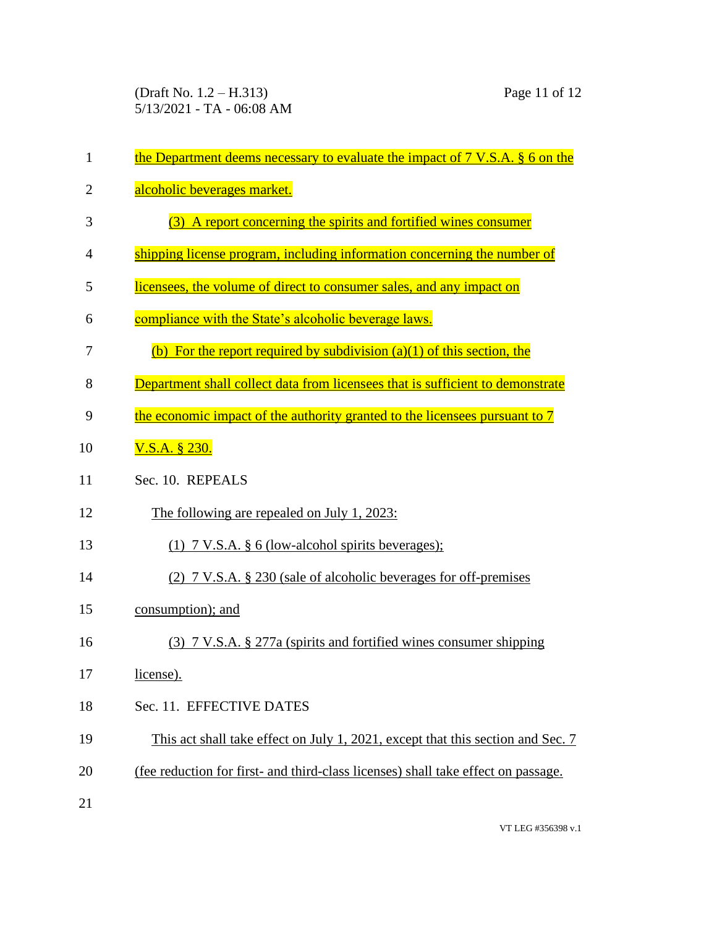(Draft No. 1.2 – H.313) Page 11 of 12 5/13/2021 - TA - 06:08 AM

| 1              | the Department deems necessary to evaluate the impact of $7 \text{ V.S.A. }$ $§ 6$ on the |
|----------------|-------------------------------------------------------------------------------------------|
| $\overline{2}$ | alcoholic beverages market.                                                               |
| 3              | (3) A report concerning the spirits and fortified wines consumer                          |
| 4              | shipping license program, including information concerning the number of                  |
| 5              | licensees, the volume of direct to consumer sales, and any impact on                      |
| 6              | compliance with the State's alcoholic beverage laws.                                      |
| 7              | (b) For the report required by subdivision $(a)(1)$ of this section, the                  |
| 8              | Department shall collect data from licensees that is sufficient to demonstrate            |
| 9              | the economic impact of the authority granted to the licensees pursuant to 7               |
| 10             | $V.S.A.$ § 230.                                                                           |
| 11             | Sec. 10. REPEALS                                                                          |
| 12             | The following are repealed on July 1, 2023:                                               |
| 13             | $(1)$ 7 V.S.A. § 6 (low-alcohol spirits beverages);                                       |
| 14             | (2) 7 V.S.A. § 230 (sale of alcoholic beverages for off-premises                          |
| 15             | consumption); and                                                                         |
| 16             | (3) 7 V.S.A. § 277a (spirits and fortified wines consumer shipping                        |
| 17             | license).                                                                                 |
| 18             | Sec. 11. EFFECTIVE DATES                                                                  |
| 19             | This act shall take effect on July 1, 2021, except that this section and Sec. 7           |
| 20             | (fee reduction for first- and third-class licenses) shall take effect on passage.         |
| 21             |                                                                                           |